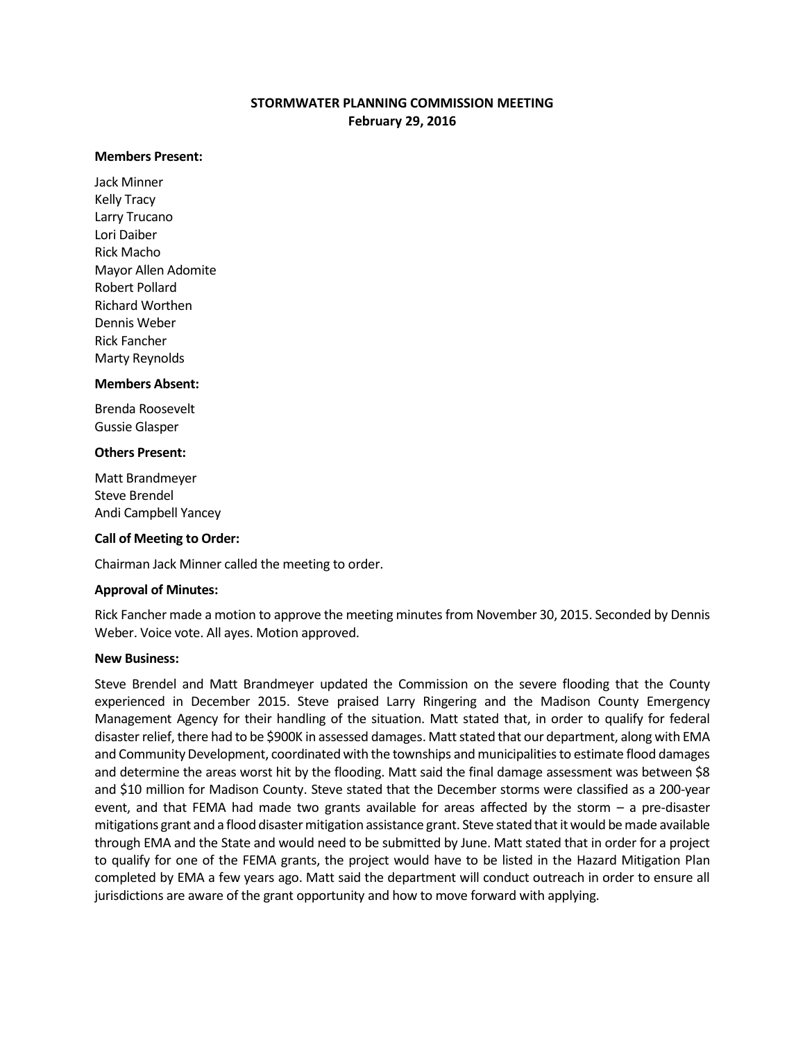# **STORMWATER PLANNING COMMISSION MEETING February 29, 2016**

#### **Members Present:**

Jack Minner Kelly Tracy Larry Trucano Lori Daiber Rick Macho Mayor Allen Adomite Robert Pollard Richard Worthen Dennis Weber Rick Fancher Marty Reynolds

## **Members Absent:**

Brenda Roosevelt Gussie Glasper

#### **Others Present:**

Matt Brandmeyer Steve Brendel Andi Campbell Yancey

### **Call of Meeting to Order:**

Chairman Jack Minner called the meeting to order.

### **Approval of Minutes:**

Rick Fancher made a motion to approve the meeting minutes from November 30, 2015. Seconded by Dennis Weber. Voice vote. All ayes. Motion approved.

### **New Business:**

Steve Brendel and Matt Brandmeyer updated the Commission on the severe flooding that the County experienced in December 2015. Steve praised Larry Ringering and the Madison County Emergency Management Agency for their handling of the situation. Matt stated that, in order to qualify for federal disaster relief, there had to be \$900K in assessed damages. Matt stated that our department, along with EMA and Community Development, coordinated with the townships and municipalities to estimate flood damages and determine the areas worst hit by the flooding. Matt said the final damage assessment was between \$8 and \$10 million for Madison County. Steve stated that the December storms were classified as a 200-year event, and that FEMA had made two grants available for areas affected by the storm  $-$  a pre-disaster mitigations grant and a flood disaster mitigation assistance grant. Steve stated that it would be made available through EMA and the State and would need to be submitted by June. Matt stated that in order for a project to qualify for one of the FEMA grants, the project would have to be listed in the Hazard Mitigation Plan completed by EMA a few years ago. Matt said the department will conduct outreach in order to ensure all jurisdictions are aware of the grant opportunity and how to move forward with applying.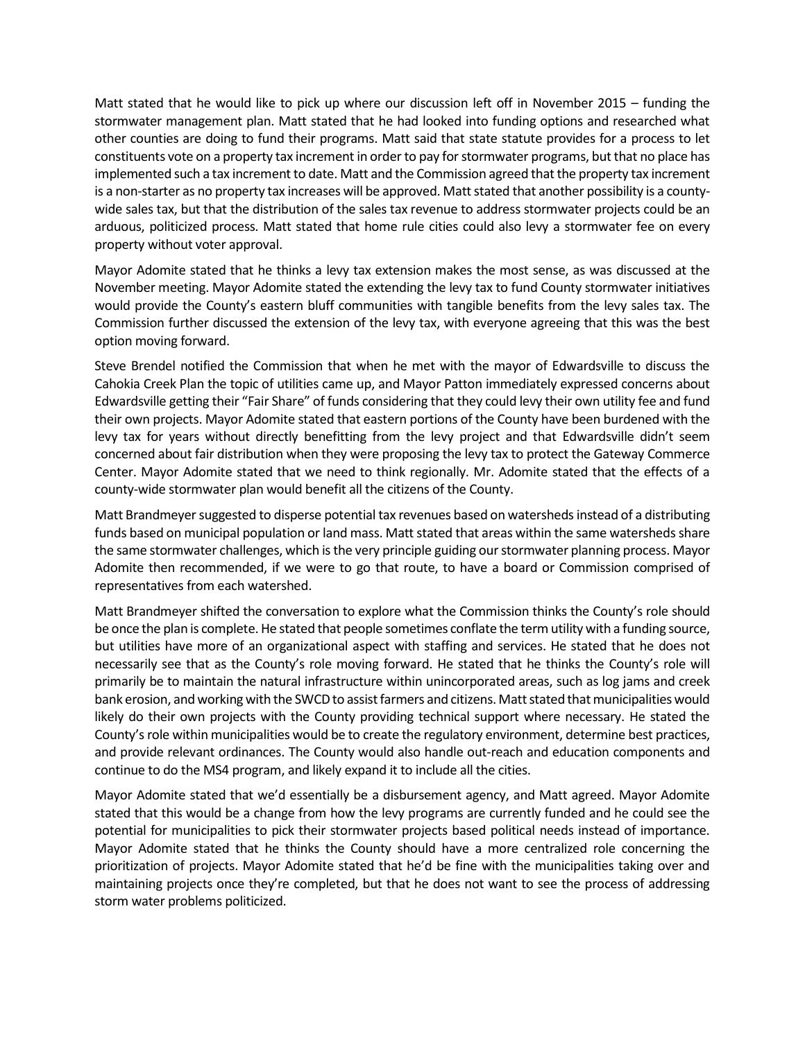Matt stated that he would like to pick up where our discussion left off in November 2015 – funding the stormwater management plan. Matt stated that he had looked into funding options and researched what other counties are doing to fund their programs. Matt said that state statute provides for a process to let constituents vote on a property tax increment in order to pay for stormwater programs, but that no place has implemented such a tax increment to date. Matt and the Commission agreed that the property tax increment is a non-starter as no property tax increases will be approved. Matt stated that another possibility is a countywide sales tax, but that the distribution of the sales tax revenue to address stormwater projects could be an arduous, politicized process. Matt stated that home rule cities could also levy a stormwater fee on every property without voter approval.

Mayor Adomite stated that he thinks a levy tax extension makes the most sense, as was discussed at the November meeting. Mayor Adomite stated the extending the levy tax to fund County stormwater initiatives would provide the County's eastern bluff communities with tangible benefits from the levy sales tax. The Commission further discussed the extension of the levy tax, with everyone agreeing that this was the best option moving forward.

Steve Brendel notified the Commission that when he met with the mayor of Edwardsville to discuss the Cahokia Creek Plan the topic of utilities came up, and Mayor Patton immediately expressed concerns about Edwardsville getting their "Fair Share" of funds considering that they could levy their own utility fee and fund their own projects. Mayor Adomite stated that eastern portions of the County have been burdened with the levy tax for years without directly benefitting from the levy project and that Edwardsville didn't seem concerned about fair distribution when they were proposing the levy tax to protect the Gateway Commerce Center. Mayor Adomite stated that we need to think regionally. Mr. Adomite stated that the effects of a county-wide stormwater plan would benefit all the citizens of the County.

Matt Brandmeyer suggested to disperse potential tax revenues based on watersheds instead of a distributing funds based on municipal population or land mass. Matt stated that areas within the same watersheds share the same stormwater challenges, which is the very principle guiding our stormwater planning process. Mayor Adomite then recommended, if we were to go that route, to have a board or Commission comprised of representatives from each watershed.

Matt Brandmeyer shifted the conversation to explore what the Commission thinks the County's role should be once the plan is complete. He stated that people sometimes conflate the term utility with a funding source, but utilities have more of an organizational aspect with staffing and services. He stated that he does not necessarily see that as the County's role moving forward. He stated that he thinks the County's role will primarily be to maintain the natural infrastructure within unincorporated areas, such as log jams and creek bank erosion, and working with the SWCD to assist farmers and citizens. Matt stated that municipalities would likely do their own projects with the County providing technical support where necessary. He stated the County's role within municipalities would be to create the regulatory environment, determine best practices, and provide relevant ordinances. The County would also handle out-reach and education components and continue to do the MS4 program, and likely expand it to include all the cities.

Mayor Adomite stated that we'd essentially be a disbursement agency, and Matt agreed. Mayor Adomite stated that this would be a change from how the levy programs are currently funded and he could see the potential for municipalities to pick their stormwater projects based political needs instead of importance. Mayor Adomite stated that he thinks the County should have a more centralized role concerning the prioritization of projects. Mayor Adomite stated that he'd be fine with the municipalities taking over and maintaining projects once they're completed, but that he does not want to see the process of addressing storm water problems politicized.